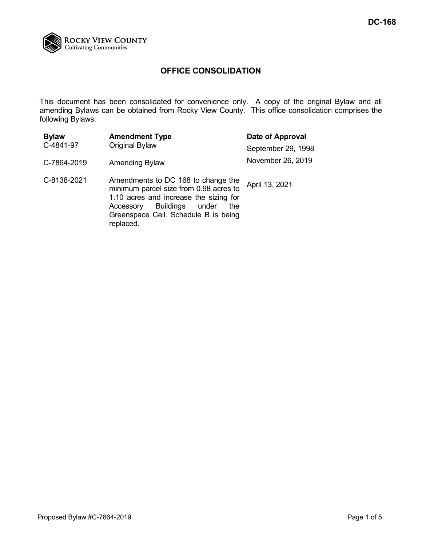

# **OFFICE CONSOLIDATION**

This document has been consolidated for convenience only. A copy of the original Bylaw and all amending Bylaws can be obtained from Rocky View County. This office consolidation comprises the following Bylaws:

| <b>Bylaw</b><br>C-4841-97 | <b>Amendment Type</b><br>Original Bylaw                                                                                                                                                                            | Date of Approval   |
|---------------------------|--------------------------------------------------------------------------------------------------------------------------------------------------------------------------------------------------------------------|--------------------|
|                           |                                                                                                                                                                                                                    | September 29, 1998 |
| C-7864-2019               | <b>Amending Bylaw</b>                                                                                                                                                                                              | November 26, 2019  |
| C-8138-2021               | Amendments to DC 168 to change the<br>minimum parcel size from 0.98 acres to<br>1.10 acres and increase the sizing for<br>Buildings under<br>Accessory<br>the<br>Greenspace Cell. Schedule B is being<br>replaced. | April 13, 2021     |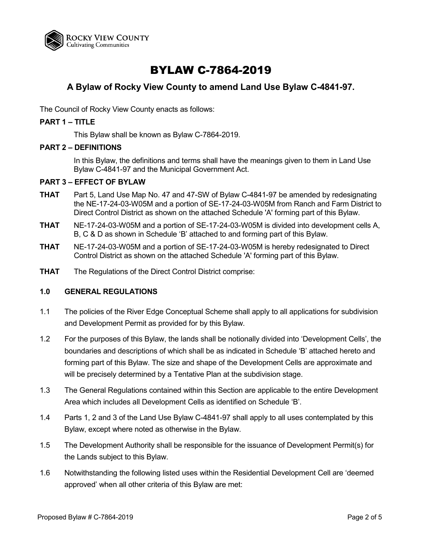

# BYLAW C-7864-2019

# **A Bylaw of Rocky View County to amend Land Use Bylaw C-4841-97.**

The Council of Rocky View County enacts as follows:

### **PART 1 – TITLE**

This Bylaw shall be known as Bylaw C-7864-2019.

#### **PART 2 – DEFINITIONS**

In this Bylaw, the definitions and terms shall have the meanings given to them in Land Use Bylaw C-4841-97 and the Municipal Government Act.

#### **PART 3 – EFFECT OF BYLAW**

- **THAT** Part 5, Land Use Map No. 47 and 47-SW of Bylaw C-4841-97 be amended by redesignating the NE-17-24-03-W05M and a portion of SE-17-24-03-W05M from Ranch and Farm District to Direct Control District as shown on the attached Schedule 'A' forming part of this Bylaw.
- **THAT** NE-17-24-03-W05M and a portion of SE-17-24-03-W05M is divided into development cells A, B, C & D as shown in Schedule 'B' attached to and forming part of this Bylaw.
- **THAT** NE-17-24-03-W05M and a portion of SE-17-24-03-W05M is hereby redesignated to Direct Control District as shown on the attached Schedule 'A' forming part of this Bylaw.
- **THAT** The Regulations of the Direct Control District comprise:

### **1.0 GENERAL REGULATIONS**

- 1.1 The policies of the River Edge Conceptual Scheme shall apply to all applications for subdivision and Development Permit as provided for by this Bylaw.
- 1.2 For the purposes of this Bylaw, the lands shall be notionally divided into 'Development Cells', the boundaries and descriptions of which shall be as indicated in Schedule 'B' attached hereto and forming part of this Bylaw. The size and shape of the Development Cells are approximate and will be precisely determined by a Tentative Plan at the subdivision stage.
- 1.3 The General Regulations contained within this Section are applicable to the entire Development Area which includes all Development Cells as identified on Schedule 'B'.
- 1.4 Parts 1, 2 and 3 of the Land Use Bylaw C-4841-97 shall apply to all uses contemplated by this Bylaw, except where noted as otherwise in the Bylaw.
- 1.5 The Development Authority shall be responsible for the issuance of Development Permit(s) for the Lands subject to this Bylaw.
- 1.6 Notwithstanding the following listed uses within the Residential Development Cell are 'deemed approved' when all other criteria of this Bylaw are met: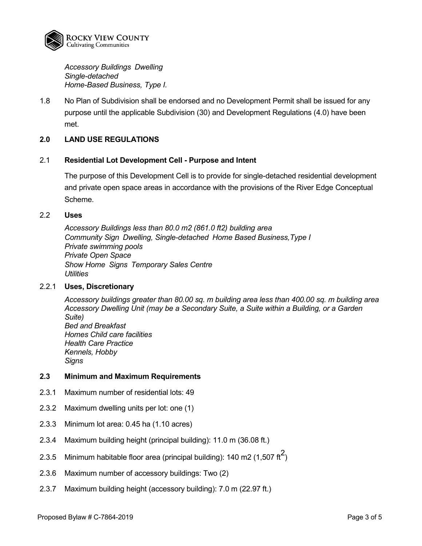

*Accessory Buildings Dwelling Single-detached Home-Based Business, Type I.* 

1.8 No Plan of Subdivision shall be endorsed and no Development Permit shall be issued for any purpose until the applicable Subdivision (30) and Development Regulations (4.0) have been met.

#### **2.0 LAND USE REGULATIONS**

#### 2.1 **Residential Lot Development Cell - Purpose and Intent**

The purpose of this Development Cell is to provide for single-detached residential development and private open space areas in accordance with the provisions of the River Edge Conceptual Scheme.

#### 2.2 **Uses**

*Accessory Buildings less than 80.0 m2 (861.0 ft2) building area Community Sign Dwelling, Single-detached Home Based Business,Type I Private swimming pools Private Open Space Show Home Signs Temporary Sales Centre Utilities*

#### 2.2.1 **Uses, Discretionary**

*Accessory buildings greater than 80.00 sq. m building area less than 400.00 sq. m building area Accessory Dwelling Unit (may be a Secondary Suite, a Suite within a Building, or a Garden Suite) Bed and Breakfast Homes Child care facilities Health Care Practice Kennels, Hobby Signs*

## **2.3 Minimum and Maximum Requirements**

- 2.3.1 Maximum number of residential lots: 49
- 2.3.2 Maximum dwelling units per lot: one (1)
- 2.3.3 Minimum lot area: 0.45 ha (1.10 acres)
- 2.3.4 Maximum building height (principal building): 11.0 m (36.08 ft.)
- 2.3.5  $\,$  Minimum habitable floor area (principal building): 140 m2 (1,507 ft $^2)$
- 2.3.6 Maximum number of accessory buildings: Two (2)
- 2.3.7 Maximum building height (accessory building): 7.0 m (22.97 ft.)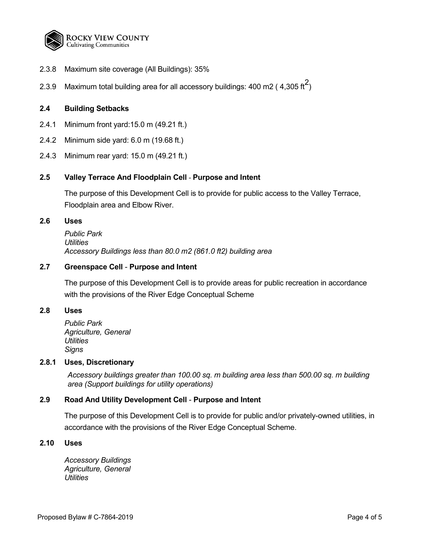

- 2.3.8 Maximum site coverage (All Buildings): 35%
- 2.3.9  $\,$  Maximum total building area for all accessory buildings: 400 m2 ( 4,305 ft $^2)$

#### **2.4 Building Setbacks**

- 2.4.1 Minimum front yard:15.0 m (49.21 ft.)
- 2.4.2 Minimum side yard: 6.0 m (19.68 ft.)
- 2.4.3 Minimum rear yard: 15.0 m (49.21 ft.)

#### **2.5 Valley Terrace And Floodplain Cell** - **Purpose and Intent**

The purpose of this Development Cell is to provide for public access to the Valley Terrace, Floodplain area and Elbow River.

#### **2.6 Uses**

*Public Park Utilities Accessory Buildings less than 80.0 m2 (861.0 ft2) building area*

### **2.7 Greenspace Cell** - **Purpose and Intent**

The purpose of this Development Cell is to provide areas for public recreation in accordance with the provisions of the River Edge Conceptual Scheme

#### **2.8 Uses**

*Public Park Agriculture, General Utilities Signs*

#### **2.8.1 Uses, Discretionary**

*Accessory buildings greater than 100.00 sq. m building area less than 500.00 sq. m building area (Support buildings for utility operations)*

## **2.9 Road And Utility Development Cell** - **Purpose and Intent**

The purpose of this Development Cell is to provide for public and/or privately-owned utilities, in accordance with the provisions of the River Edge Conceptual Scheme.

#### **2.10 Uses**

*Accessory Buildings Agriculture, General Utilities*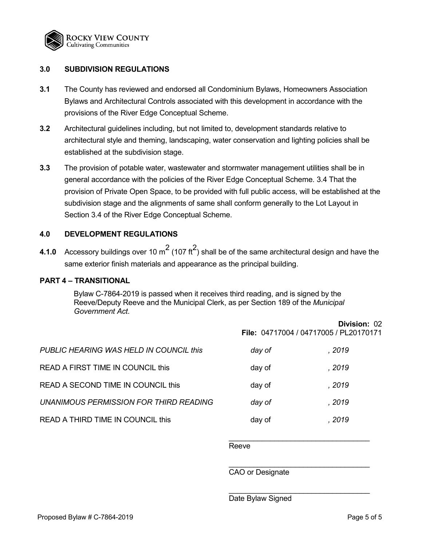

#### **3.0 SUBDIVISION REGULATIONS**

- **3.1** The County has reviewed and endorsed all Condominium Bylaws, Homeowners Association Bylaws and Architectural Controls associated with this development in accordance with the provisions of the River Edge Conceptual Scheme.
- **3.2** Architectural guidelines including, but not limited to, development standards relative to architectural style and theming, landscaping, water conservation and lighting policies shall be established at the subdivision stage.
- **3.3** The provision of potable water, wastewater and stormwater management utilities shall be in general accordance with the policies of the River Edge Conceptual Scheme. 3.4 That the provision of Private Open Space, to be provided with full public access, will be established at the subdivision stage and the alignments of same shall conform generally to the Lot Layout in Section 3.4 of the River Edge Conceptual Scheme.

#### **4.0 DEVELOPMENT REGULATIONS**

**4.1.0** Accessory buildings over 10  $\text{m}^2$  (107 ft $^2$ ) shall be of the same architectural design and have the same exterior finish materials and appearance as the principal building.

#### **PART 4 – TRANSITIONAL**

Bylaw C-7864-2019 is passed when it receives third reading, and is signed by the Reeve/Deputy Reeve and the Municipal Clerk, as per Section 189 of the *Municipal Government Act*.

|                                         | Division: 02<br>File: 04717004 / 04717005 / PL20170171 |        |
|-----------------------------------------|--------------------------------------------------------|--------|
| PUBLIC HEARING WAS HELD IN COUNCIL this | day of                                                 | , 2019 |
| READ A FIRST TIME IN COUNCIL this       | day of                                                 | , 2019 |
| READ A SECOND TIME IN COUNCIL this      | day of                                                 | . 2019 |
| UNANIMOUS PERMISSION FOR THIRD READING  | day of                                                 | , 2019 |
| READ A THIRD TIME IN COUNCIL this       | day of                                                 | . 2019 |

\_\_\_\_\_\_\_\_\_\_\_\_\_\_\_\_\_\_\_\_\_\_\_\_\_\_\_\_\_\_\_\_\_\_ Reeve

CAO or Designate

\_\_\_\_\_\_\_\_\_\_\_\_\_\_\_\_\_\_\_\_\_\_\_\_\_\_\_\_\_\_\_\_\_\_

\_\_\_\_\_\_\_\_\_\_\_\_\_\_\_\_\_\_\_\_\_\_\_\_\_\_\_\_\_\_\_\_\_\_

Date Bylaw Signed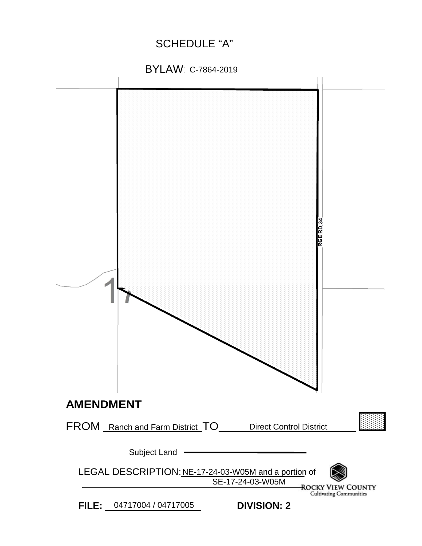SCHEDULE "A"

BYLAW: C-7864-2019